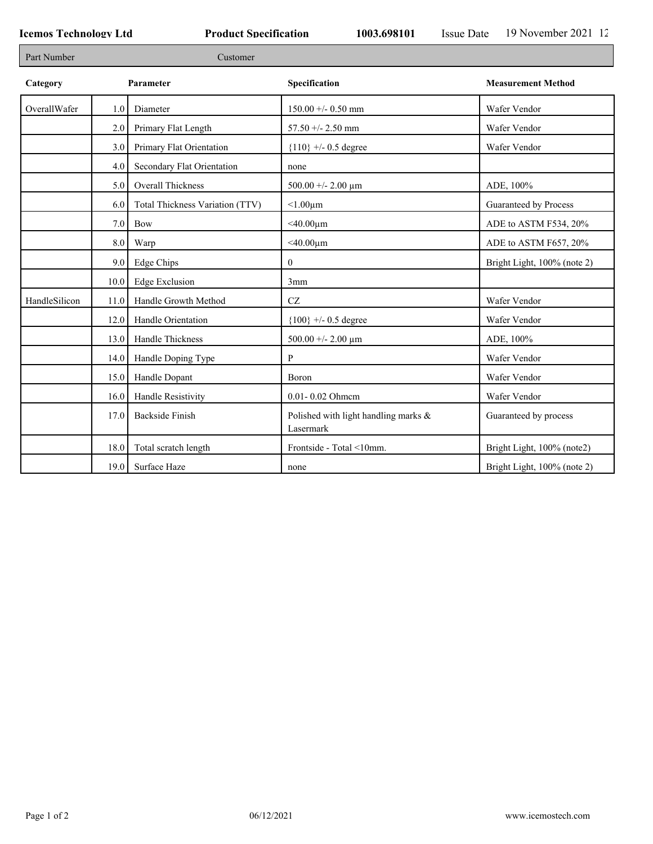Г

| Part Number   | Customer         |                                 |                                                   |                             |  |
|---------------|------------------|---------------------------------|---------------------------------------------------|-----------------------------|--|
| Category      |                  | Parameter                       | Specification                                     | <b>Measurement Method</b>   |  |
| OverallWafer  | 1.0              | Diameter                        | $150.00 +/- 0.50$ mm                              | Wafer Vendor                |  |
|               | 2.0              | Primary Flat Length             | $57.50 + - 2.50$ mm                               | Wafer Vendor                |  |
|               | 3.0              | Primary Flat Orientation        | ${110}$ +/- 0.5 degree                            | Wafer Vendor                |  |
|               | 4.0              | Secondary Flat Orientation      | none                                              |                             |  |
|               | 5.0              | Overall Thickness               | 500.00 +/- 2.00 $\mu$ m                           | ADE, 100%                   |  |
|               | 6.0              | Total Thickness Variation (TTV) | $< 1.00 \mu m$                                    | Guaranteed by Process       |  |
|               | 7.0              | Bow                             | $<$ 40.00 $\mu$ m                                 | ADE to ASTM F534, 20%       |  |
|               | 8.0              | Warp                            | $<$ 40.00 $\mu$ m                                 | ADE to ASTM F657, 20%       |  |
|               | 9.0 <sub>1</sub> | Edge Chips                      | $\overline{0}$                                    | Bright Light, 100% (note 2) |  |
|               | 10.0             | <b>Edge Exclusion</b>           | 3mm                                               |                             |  |
| HandleSilicon | 11.0             | Handle Growth Method            | $\operatorname{CZ}$                               | Wafer Vendor                |  |
|               | 12.0             | Handle Orientation              | ${100}$ +/- 0.5 degree                            | Wafer Vendor                |  |
|               | 13.0             | Handle Thickness                | 500.00 +/- 2.00 $\mu$ m                           | ADE, 100%                   |  |
|               | 14.0             | Handle Doping Type              | P                                                 | Wafer Vendor                |  |
|               | 15.0             | Handle Dopant                   | Boron                                             | Wafer Vendor                |  |
|               | 16.0             | Handle Resistivity              | 0.01-0.02 Ohmem                                   | Wafer Vendor                |  |
|               | 17.0             | <b>Backside Finish</b>          | Polished with light handling marks &<br>Lasermark | Guaranteed by process       |  |
|               | 18.0             | Total scratch length            | Frontside - Total <10mm.                          | Bright Light, 100% (note2)  |  |
|               |                  | 19.0 Surface Haze               | none                                              | Bright Light, 100% (note 2) |  |